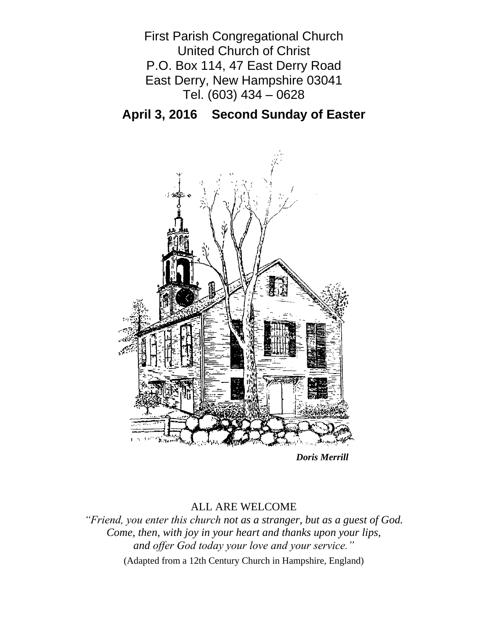First Parish Congregational Church United Church of Christ P.O. Box 114, 47 East Derry Road East Derry, New Hampshire 03041 Tel. (603) 434 – 0628

**April 3, 2016 Second Sunday of Easter**



*Doris Merrill*

## ALL ARE WELCOME

*"Friend, you enter this church not as a stranger, but as a guest of God. Come, then, with joy in your heart and thanks upon your lips, and offer God today your love and your service."*

(Adapted from a 12th Century Church in Hampshire, England)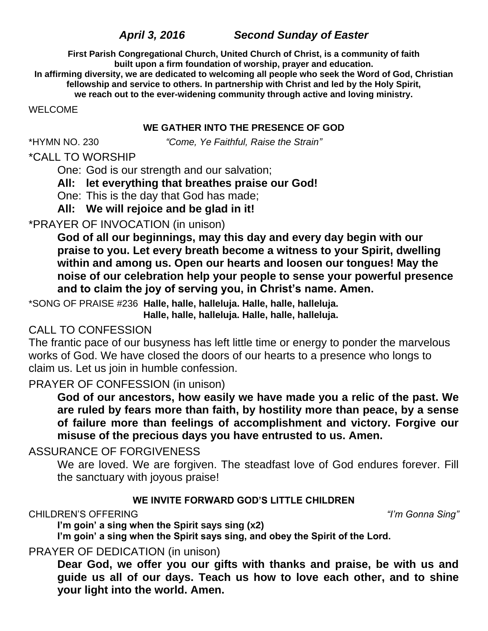# *April 3, 2016 Second Sunday of Easter*

**First Parish Congregational Church, United Church of Christ, is a community of faith built upon a firm foundation of worship, prayer and education.**

**In affirming diversity, we are dedicated to welcoming all people who seek the Word of God, Christian fellowship and service to others. In partnership with Christ and led by the Holy Spirit, we reach out to the ever-widening community through active and loving ministry.**

WELCOME

### **WE GATHER INTO THE PRESENCE OF GOD**

\*HYMN NO. 230 *"Come, Ye Faithful, Raise the Strain"*

# \*CALL TO WORSHIP

One: God is our strength and our salvation;

## **All: let everything that breathes praise our God!**

One: This is the day that God has made;

**All: We will rejoice and be glad in it!**

## \*PRAYER OF INVOCATION (in unison)

**God of all our beginnings, may this day and every day begin with our praise to you. Let every breath become a witness to your Spirit, dwelling within and among us. Open our hearts and loosen our tongues! May the noise of our celebration help your people to sense your powerful presence and to claim the joy of serving you, in Christ's name. Amen.**

\*SONG OF PRAISE #236 **Halle, halle, halleluja. Halle, halle, halleluja. Halle, halle, halleluja. Halle, halle, halleluja.**

# CALL TO CONFESSION

The frantic pace of our busyness has left little time or energy to ponder the marvelous works of God. We have closed the doors of our hearts to a presence who longs to claim us. Let us join in humble confession.

## PRAYER OF CONFESSION (in unison)

**God of our ancestors, how easily we have made you a relic of the past. We are ruled by fears more than faith, by hostility more than peace, by a sense of failure more than feelings of accomplishment and victory. Forgive our misuse of the precious days you have entrusted to us. Amen.**

# ASSURANCE OF FORGIVENESS

We are loved. We are forgiven. The steadfast love of God endures forever. Fill the sanctuary with joyous praise!

## **WE INVITE FORWARD GOD'S LITTLE CHILDREN**

## CHILDREN'S OFFERING *"I'm Gonna Sing"*

**I'm goin' a sing when the Spirit says sing (x2)**

**I'm goin' a sing when the Spirit says sing, and obey the Spirit of the Lord.**

# PRAYER OF DEDICATION (in unison)

**Dear God, we offer you our gifts with thanks and praise, be with us and guide us all of our days. Teach us how to love each other, and to shine your light into the world. Amen.**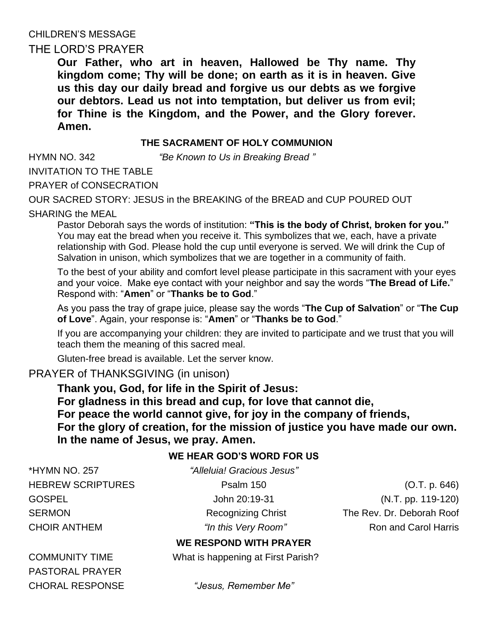# CHILDREN'S MESSAGE

## THE LORD'S PRAYER

**Our Father, who art in heaven, Hallowed be Thy name. Thy kingdom come; Thy will be done; on earth as it is in heaven. Give us this day our daily bread and forgive us our debts as we forgive our debtors. Lead us not into temptation, but deliver us from evil; for Thine is the Kingdom, and the Power, and the Glory forever. Amen.** 

#### **THE SACRAMENT OF HOLY COMMUNION**

HYMN NO. 342 *"Be Known to Us in Breaking Bread "*

INVITATION TO THE TABLE PRAYER of CONSECRATION

OUR SACRED STORY: JESUS in the BREAKING of the BREAD and CUP POURED OUT SHARING the MEAL

Pastor Deborah says the words of institution: **"This is the body of Christ, broken for you."** You may eat the bread when you receive it. This symbolizes that we, each, have a private relationship with God. Please hold the cup until everyone is served. We will drink the Cup of Salvation in unison, which symbolizes that we are together in a community of faith.

To the best of your ability and comfort level please participate in this sacrament with your eyes and your voice. Make eye contact with your neighbor and say the words "**The Bread of Life.**" Respond with: "**Amen**" or "**Thanks be to God**."

As you pass the tray of grape juice, please say the words "**The Cup of Salvation**" or "**The Cup of Love**". Again, your response is: "**Amen**" or "**Thanks be to God**."

If you are accompanying your children: they are invited to participate and we trust that you will teach them the meaning of this sacred meal.

Gluten-free bread is available. Let the server know.

## PRAYER of THANKSGIVING (in unison)

**Thank you, God, for life in the Spirit of Jesus: For gladness in this bread and cup, for love that cannot die, For peace the world cannot give, for joy in the company of friends, For the glory of creation, for the mission of justice you have made our own. In the name of Jesus, we pray. Amen.**

#### **WE HEAR GOD'S WORD FOR US**

\*HYMN NO. 257 *"Alleluia! Gracious Jesus"*

HEBREW SCRIPTURES Psalm 150 Psalm 150 (O.T. p. 646) GOSPEL John 20:19-31 (N.T. pp. 119-120) SERMON Recognizing Christ The Rev. Dr. Deborah Roof CHOIR ANTHEM *"In this Very Room"* Ron and Carol Harris

## **WE RESPOND WITH PRAYER**

COMMUNITY TIME What is happening at First Parish?

PASTORAL PRAYER

CHORAL RESPONSE *"Jesus, Remember Me"*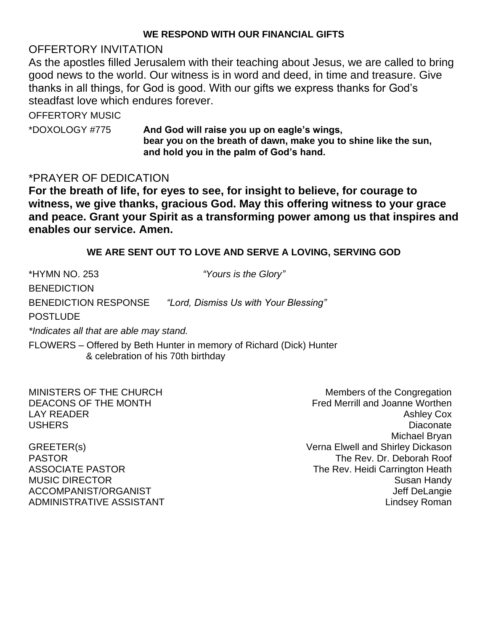#### **WE RESPOND WITH OUR FINANCIAL GIFTS**

## OFFERTORY INVITATION

As the apostles filled Jerusalem with their teaching about Jesus, we are called to bring good news to the world. Our witness is in word and deed, in time and treasure. Give thanks in all things, for God is good. With our gifts we express thanks for God's steadfast love which endures forever.

OFFERTORY MUSIC

\*DOXOLOGY #775 **And God will raise you up on eagle's wings, bear you on the breath of dawn, make you to shine like the sun, and hold you in the palm of God's hand.**

## \*PRAYER OF DEDICATION

**For the breath of life, for eyes to see, for insight to believe, for courage to witness, we give thanks, gracious God. May this offering witness to your grace and peace. Grant your Spirit as a transforming power among us that inspires and enables our service. Amen.**

### **WE ARE SENT OUT TO LOVE AND SERVE A LOVING, SERVING GOD**

\*HYMN NO. 253 *"Yours is the Glory"* **BENEDICTION** BENEDICTION RESPONSE *"Lord, Dismiss Us with Your Blessing"* POSTLUDE *\*Indicates all that are able may stand.* FLOWERS – Offered by Beth Hunter in memory of Richard (Dick) Hunter & celebration of his 70th birthday

MINISTERS OF THE CHURCH MINISTERS OF THE CHURCH DEACONS OF THE MONTH **FREMONTH FRED SEALL SEALL FRED METAL SEALL AT A SEALL AND FRED METAL SEALL AT A SEALL A** LAY READER Ashley Cox and the community of the community of the community of the community of the community of the community of the community of the community of the community of the community of the community of the commu USHERS Diaconate Michael Bryan GREETER(s) Verna Elwell and Shirley Dickason PASTOR THE Rev. Dr. Deborah Roof ASSOCIATE PASTOR **The Rev. Heidi Carrington Heath** MUSIC DIRECTOR **Susan Handy** Susan Handy ACCOMPANIST/ORGANIST ACCOMPANIST ACCOMPANIST/ORGANIST ADMINISTRATIVE ASSISTANT AND ALL THE LINDS OF A LINDS AND ALL THE LINDS AND ALL THE LINDS AND ALL THE LINDS OF A LINDS OF A LINDS OF A LINDS OF A LINDS OF A LINDS OF A LINDS OF A LINDS OF A LINDS OF A LINDS OF A LINDS OF A